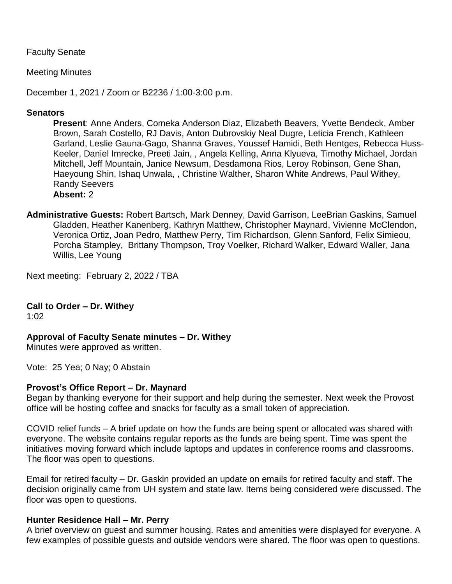Faculty Senate

Meeting Minutes

December 1, 2021 / Zoom or B2236 / 1:00-3:00 p.m.

#### **Senators**

**Present**: Anne Anders, Comeka Anderson Diaz, Elizabeth Beavers, Yvette Bendeck, Amber Brown, Sarah Costello, RJ Davis, Anton Dubrovskiy Neal Dugre, Leticia French, Kathleen Garland, Leslie Gauna-Gago, Shanna Graves, Youssef Hamidi, Beth Hentges, Rebecca Huss-Keeler, Daniel Imrecke, Preeti Jain, , Angela Kelling, Anna Klyueva, Timothy Michael, Jordan Mitchell, Jeff Mountain, Janice Newsum, Desdamona Rios, Leroy Robinson, Gene Shan, Haeyoung Shin, Ishaq Unwala, , Christine Walther, Sharon White Andrews, Paul Withey, Randy Seevers **Absent:** 2

**Administrative Guests:** Robert Bartsch, Mark Denney, David Garrison, LeeBrian Gaskins, Samuel Gladden, Heather Kanenberg, Kathryn Matthew, Christopher Maynard, Vivienne McClendon, Veronica Ortiz, Joan Pedro, Matthew Perry, Tim Richardson, Glenn Sanford, Felix Simieou, Porcha Stampley, Brittany Thompson, Troy Voelker, Richard Walker, Edward Waller, Jana Willis, Lee Young

Next meeting: February 2, 2022 / TBA

**Call to Order – Dr. Withey**

1:02

### **Approval of Faculty Senate minutes – Dr. Withey**

Minutes were approved as written.

Vote: 25 Yea; 0 Nay; 0 Abstain

#### **Provost's Office Report – Dr. Maynard**

Began by thanking everyone for their support and help during the semester. Next week the Provost office will be hosting coffee and snacks for faculty as a small token of appreciation.

COVID relief funds – A brief update on how the funds are being spent or allocated was shared with everyone. The website contains regular reports as the funds are being spent. Time was spent the initiatives moving forward which include laptops and updates in conference rooms and classrooms. The floor was open to questions.

Email for retired faculty – Dr. Gaskin provided an update on emails for retired faculty and staff. The decision originally came from UH system and state law. Items being considered were discussed. The floor was open to questions.

#### **Hunter Residence Hall – Mr. Perry**

A brief overview on guest and summer housing. Rates and amenities were displayed for everyone. A few examples of possible guests and outside vendors were shared. The floor was open to questions.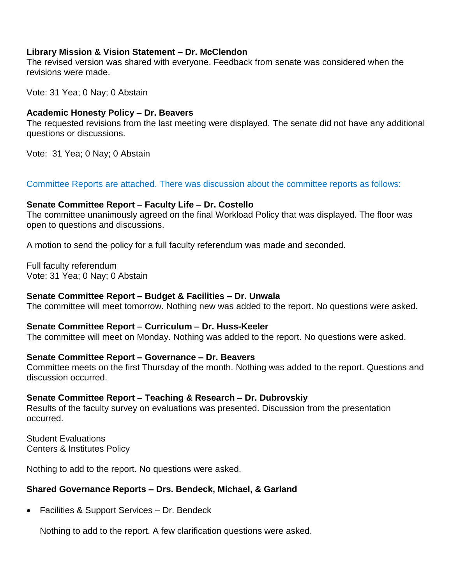### **Library Mission & Vision Statement – Dr. McClendon**

The revised version was shared with everyone. Feedback from senate was considered when the revisions were made.

Vote: 31 Yea; 0 Nay; 0 Abstain

## **Academic Honesty Policy – Dr. Beavers**

The requested revisions from the last meeting were displayed. The senate did not have any additional questions or discussions.

Vote: 31 Yea; 0 Nay; 0 Abstain

Committee Reports are attached. There was discussion about the committee reports as follows:

## **Senate Committee Report – Faculty Life – Dr. Costello**

The committee unanimously agreed on the final Workload Policy that was displayed. The floor was open to questions and discussions.

A motion to send the policy for a full faculty referendum was made and seconded.

Full faculty referendum Vote: 31 Yea; 0 Nay; 0 Abstain

# **Senate Committee Report – Budget & Facilities – Dr. Unwala**

The committee will meet tomorrow. Nothing new was added to the report. No questions were asked.

# **Senate Committee Report – Curriculum – Dr. Huss-Keeler**

The committee will meet on Monday. Nothing was added to the report. No questions were asked.

# **Senate Committee Report – Governance – Dr. Beavers**

Committee meets on the first Thursday of the month. Nothing was added to the report. Questions and discussion occurred.

### **Senate Committee Report – Teaching & Research – Dr. Dubrovskiy**

Results of the faculty survey on evaluations was presented. Discussion from the presentation occurred.

Student Evaluations Centers & Institutes Policy

Nothing to add to the report. No questions were asked.

# **Shared Governance Reports – Drs. Bendeck, Michael, & Garland**

• Facilities & Support Services – Dr. Bendeck

Nothing to add to the report. A few clarification questions were asked.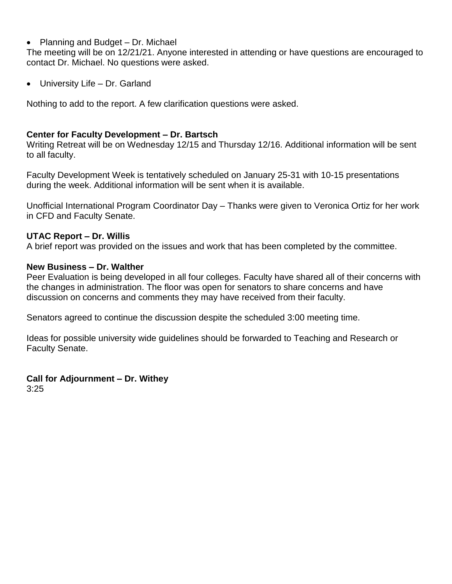• Planning and Budget – Dr. Michael

The meeting will be on 12/21/21. Anyone interested in attending or have questions are encouraged to contact Dr. Michael. No questions were asked.

• University Life – Dr. Garland

Nothing to add to the report. A few clarification questions were asked.

#### **Center for Faculty Development – Dr. Bartsch**

Writing Retreat will be on Wednesday 12/15 and Thursday 12/16. Additional information will be sent to all faculty.

Faculty Development Week is tentatively scheduled on January 25-31 with 10-15 presentations during the week. Additional information will be sent when it is available.

Unofficial International Program Coordinator Day – Thanks were given to Veronica Ortiz for her work in CFD and Faculty Senate.

#### **UTAC Report – Dr. Willis**

A brief report was provided on the issues and work that has been completed by the committee.

#### **New Business – Dr. Walther**

Peer Evaluation is being developed in all four colleges. Faculty have shared all of their concerns with the changes in administration. The floor was open for senators to share concerns and have discussion on concerns and comments they may have received from their faculty.

Senators agreed to continue the discussion despite the scheduled 3:00 meeting time.

Ideas for possible university wide guidelines should be forwarded to Teaching and Research or Faculty Senate.

**Call for Adjournment – Dr. Withey**  3:25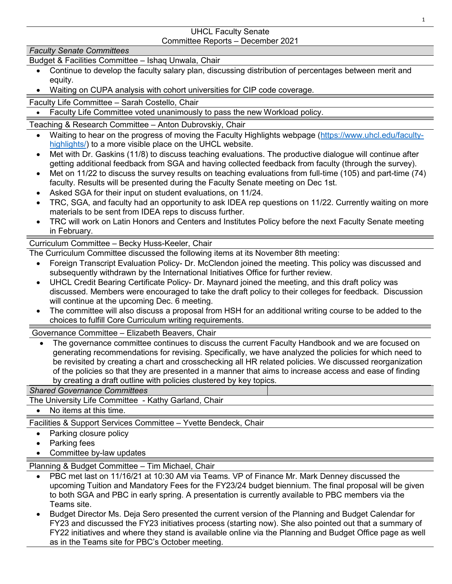#### UHCL Faculty Senate Committee Reports – December 2021

#### *Faculty Senate Committees*

Budget & Facilities Committee – Ishaq Unwala, Chair

- Continue to develop the faculty salary plan, discussing distribution of percentages between merit and equity.
- Waiting on CUPA analysis with cohort universities for CIP code coverage.

Faculty Life Committee – Sarah Costello, Chair

• Faculty Life Committee voted unanimously to pass the new Workload policy.

Teaching & Research Committee – Anton Dubrovskiy, Chair

- Waiting to hear on the progress of moving the Faculty Highlights webpage [\(https://www.uhcl.edu/faculty](https://www.uhcl.edu/faculty-highlights/)[highlights/\)](https://www.uhcl.edu/faculty-highlights/) to a more visible place on the UHCL website.
- Met with Dr. Gaskins (11/8) to discuss teaching evaluations. The productive dialogue will continue after getting additional feedback from SGA and having collected feedback from faculty (through the survey).
- Met on 11/22 to discuss the survey results on teaching evaluations from full-time (105) and part-time (74) faculty. Results will be presented during the Faculty Senate meeting on Dec 1st.
- Asked SGA for their input on student evaluations, on 11/24.
- TRC, SGA, and faculty had an opportunity to ask IDEA rep questions on 11/22. Currently waiting on more materials to be sent from IDEA reps to discuss further.
- TRC will work on Latin Honors and Centers and Institutes Policy before the next Faculty Senate meeting in February.

### Curriculum Committee – Becky Huss-Keeler, Chair

The Curriculum Committee discussed the following items at its November 8th meeting:

- Foreign Transcript Evaluation Policy- Dr. McClendon joined the meeting. This policy was discussed and subsequently withdrawn by the International Initiatives Office for further review.
- UHCL Credit Bearing Certificate Policy- Dr. Maynard joined the meeting, and this draft policy was discussed. Members were encouraged to take the draft policy to their colleges for feedback. Discussion will continue at the upcoming Dec. 6 meeting.
- The committee will also discuss a proposal from HSH for an additional writing course to be added to the choices to fulfill Core Curriculum writing requirements.

Governance Committee – Elizabeth Beavers, Chair

• The governance committee continues to discuss the current Faculty Handbook and we are focused on generating recommendations for revising. Specifically, we have analyzed the policies for which need to be revisited by creating a chart and crosschecking all HR related policies. We discussed reorganization of the policies so that they are presented in a manner that aims to increase access and ease of finding by creating a draft outline with policies clustered by key topics.

# *Shared Governance Committees*

The University Life Committee - Kathy Garland, Chair

• No items at this time.

Facilities & Support Services Committee – Yvette Bendeck, Chair

- Parking closure policy
- Parking fees
- Committee by-law updates

Planning & Budget Committee – Tim Michael, Chair

- PBC met last on 11/16/21 at 10:30 AM via Teams. VP of Finance Mr. Mark Denney discussed the upcoming Tuition and Mandatory Fees for the FY23/24 budget biennium. The final proposal will be given to both SGA and PBC in early spring. A presentation is currently available to PBC members via the Teams site.
- Budget Director Ms. Deja Sero presented the current version of the Planning and Budget Calendar for FY23 and discussed the FY23 initiatives process (starting now). She also pointed out that a summary of FY22 initiatives and where they stand is available online via the Planning and Budget Office page as well as in the Teams site for PBC's October meeting.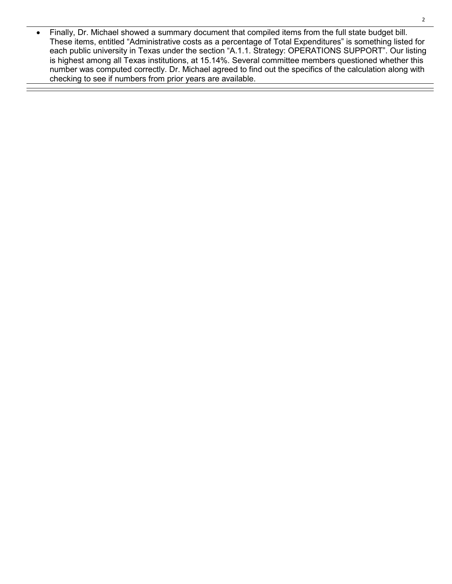• Finally, Dr. Michael showed a summary document that compiled items from the full state budget bill. These items, entitled "Administrative costs as a percentage of Total Expenditures" is something listed for each public university in Texas under the section "A.1.1. Strategy: OPERATIONS SUPPORT". Our listing is highest among all Texas institutions, at 15.14%. Several committee members questioned whether this number was computed correctly. Dr. Michael agreed to find out the specifics of the calculation along with checking to see if numbers from prior years are available.